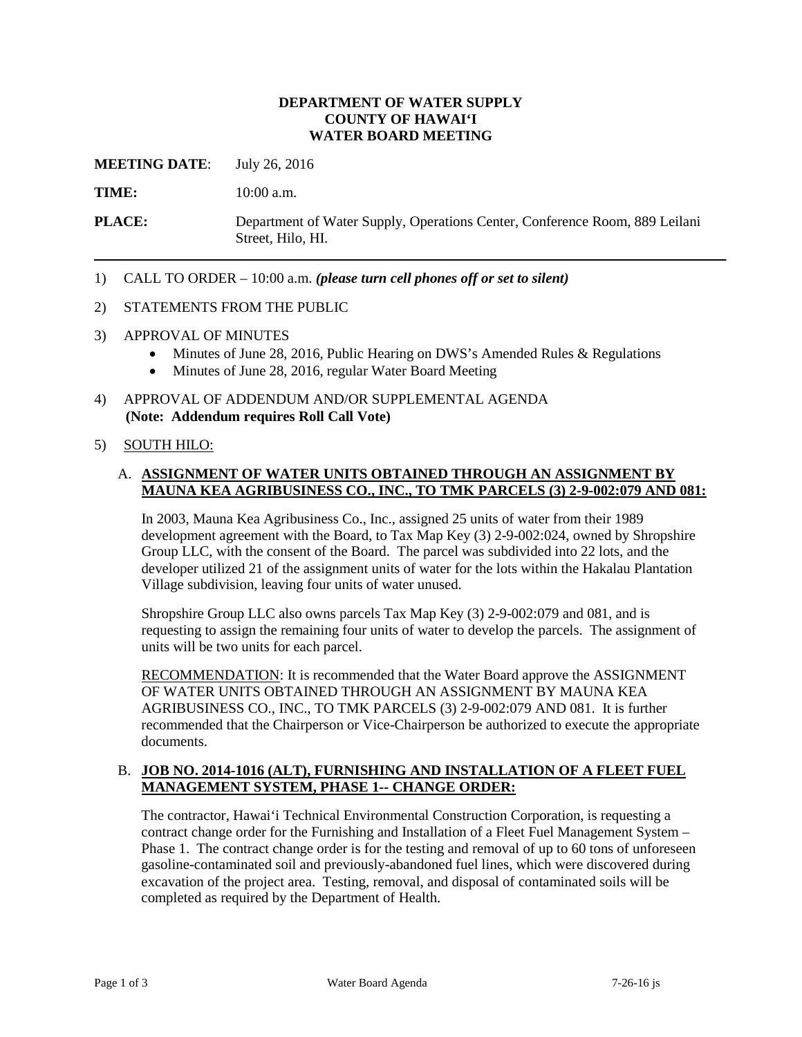## **DEPARTMENT OF WATER SUPPLY COUNTY OF HAWAI'I WATER BOARD MEETING**

**MEETING DATE**: July 26, 2016

TIME: 10:00 a.m.

**PLACE:** Department of Water Supply, Operations Center, Conference Room, 889 Leilani Street, Hilo, HI.

1) CALL TO ORDER – 10:00 a.m. *(please turn cell phones off or set to silent)* 

### 2) STATEMENTS FROM THE PUBLIC

- 3) APPROVAL OF MINUTES
	- Minutes of June 28, 2016, Public Hearing on DWS's Amended Rules & Regulations
	- Minutes of June 28, 2016, regular Water Board Meeting
- 4) APPROVAL OF ADDENDUM AND/OR SUPPLEMENTAL AGENDA **(Note: Addendum requires Roll Call Vote)**

### 5) SOUTH HILO:

# A. **ASSIGNMENT OF WATER UNITS OBTAINED THROUGH AN ASSIGNMENT BY MAUNA KEA AGRIBUSINESS CO., INC., TO TMK PARCELS (3) 2-9-002:079 AND 081:**

In 2003, Mauna Kea Agribusiness Co., Inc., assigned 25 units of water from their 1989 development agreement with the Board, to Tax Map Key (3) 2-9-002:024, owned by Shropshire Group LLC, with the consent of the Board. The parcel was subdivided into 22 lots, and the developer utilized 21 of the assignment units of water for the lots within the Hakalau Plantation Village subdivision, leaving four units of water unused.

 requesting to assign the remaining four units of water to develop the parcels. The assignment of units will be two units for each parcel. Shropshire Group LLC also owns parcels Tax Map Key (3) 2-9-002:079 and 081, and is

RECOMMENDATION: It is recommended that the Water Board approve the ASSIGNMENT OF WATER UNITS OBTAINED THROUGH AN ASSIGNMENT BY MAUNA KEA AGRIBUSINESS CO., INC., TO TMK PARCELS (3) 2-9-002:079 AND 081. It is further recommended that the Chairperson or Vice-Chairperson be authorized to execute the appropriate documents.

# B. JOB NO. 2014-1016 (ALT), FURNISHING AND INSTALLATION OF A FLEET FUEL **MANAGEMENT SYSTEM, PHASE 1-- CHANGE ORDER:**

 contract change order for the Furnishing and Installation of a Fleet Fuel Management System – Phase 1. The contract change order is for the testing and removal of up to 60 tons of unforeseen excavation of the project area. Testing, removal, and disposal of contaminated soils will be The contractor, Hawai'i Technical Environmental Construction Corporation, is requesting a gasoline-contaminated soil and previously-abandoned fuel lines, which were discovered during completed as required by the Department of Health.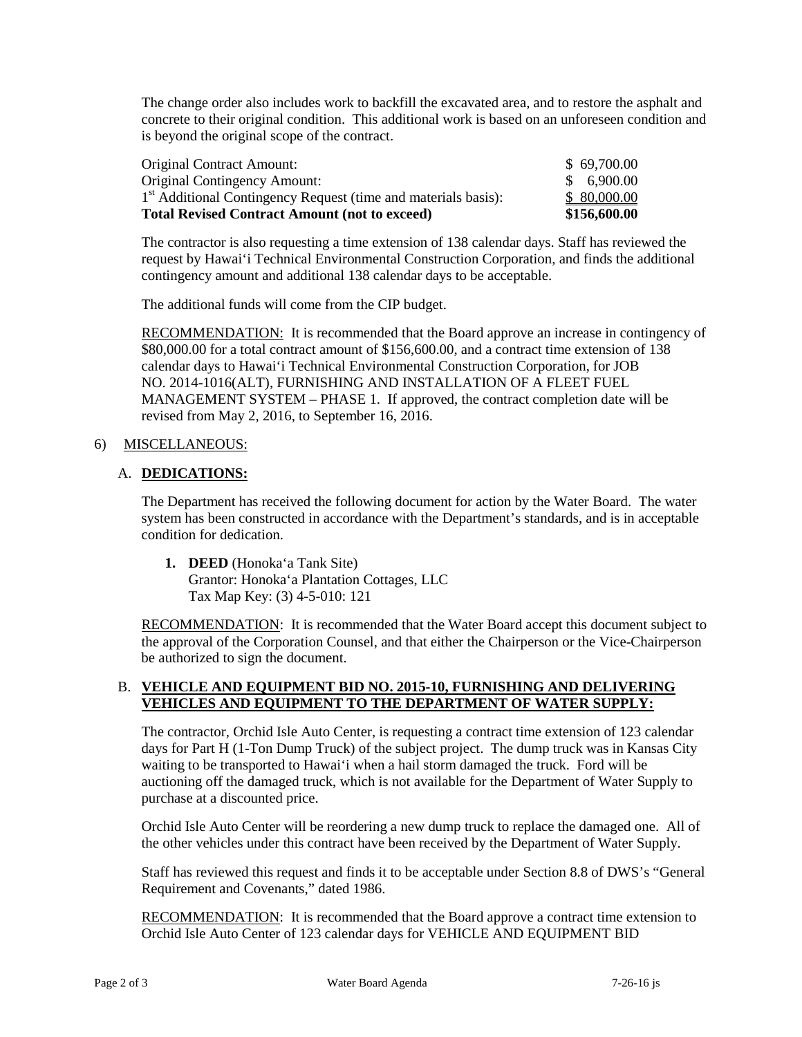The change order also includes work to backfill the excavated area, and to restore the asphalt and concrete to their original condition. This additional work is based on an unforeseen condition and is beyond the original scope of the contract.

| \$156,600.00 |
|--------------|
| \$80,000.00  |
| \$6,900.00   |
| \$69,700.00  |
|              |

 The contractor is also requesting a time extension of 138 calendar days. Staff has reviewed the request by Hawai'i Technical Environmental Construction Corporation, and finds the additional contingency amount and additional 138 calendar days to be acceptable.

The additional funds will come from the CIP budget.

RECOMMENDATION: It is recommended that the Board approve an increase in contingency of \$80,000.00 for a total contract amount of \$156,600.00, and a contract time extension of 138 calendar days to Hawai'i Technical Environmental Construction Corporation, for JOB MANAGEMENT SYSTEM – PHASE 1. If approved, the contract completion date will be NO. 2014-1016(ALT), FURNISHING AND INSTALLATION OF A FLEET FUEL revised from May 2, 2016, to September 16, 2016.

### 6) MISCELLANEOUS:

# A. DEDICATIONS:

 system has been constructed in accordance with the Department's standards, and is in acceptable The Department has received the following document for action by the Water Board. The water condition for dedication.

**1. DEED** (Honoka'a Tank Site) Grantor: Honoka'a Plantation Cottages, LLC Tax Map Key: (3) 4-5-010: 121

 the approval of the Corporation Counsel, and that either the Chairperson or the Vice-Chairperson RECOMMENDATION: It is recommended that the Water Board accept this document subject to be authorized to sign the document.

# B. **VEHICLE AND EQUIPMENT BID NO. 2015-10, FURNISHING AND DELIVERING VEHICLES AND EQUIPMENT TO THE DEPARTMENT OF WATER SUPPLY:**

 The contractor, Orchid Isle Auto Center, is requesting a contract time extension of 123 calendar days for Part H (1-Ton Dump Truck) of the subject project. The dump truck was in Kansas City auctioning off the damaged truck, which is not available for the Department of Water Supply to waiting to be transported to Hawai'i when a hail storm damaged the truck. Ford will be purchase at a discounted price.

 Orchid Isle Auto Center will be reordering a new dump truck to replace the damaged one. All of the other vehicles under this contract have been received by the Department of Water Supply.

Staff has reviewed this request and finds it to be acceptable under Section 8.8 of DWS's "General Requirement and Covenants," dated 1986.

RECOMMENDATION: It is recommended that the Board approve a contract time extension to Orchid Isle Auto Center of 123 calendar days for VEHICLE AND EQUIPMENT BID